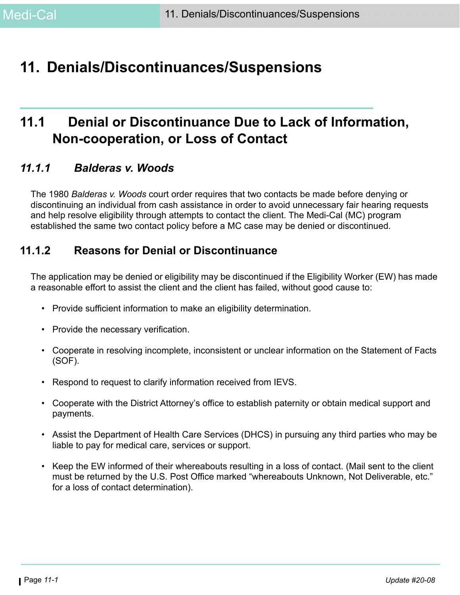# **11. Denials/Discontinuances/Suspensions**

# **11.1 Denial or Discontinuance Due to Lack of Information, Non-cooperation, or Loss of Contact**

## *11.1.1 Balderas v. Woods*

The 1980 *Balderas v. Woods* court order requires that two contacts be made before denying or discontinuing an individual from cash assistance in order to avoid unnecessary fair hearing requests and help resolve eligibility through attempts to contact the client. The Medi-Cal (MC) program established the same two contact policy before a MC case may be denied or discontinued.

# <span id="page-0-0"></span>**11.1.2 Reasons for Denial or Discontinuance**

The application may be denied or eligibility may be discontinued if the Eligibility Worker (EW) has made a reasonable effort to assist the client and the client has failed, without good cause to:

- Provide sufficient information to make an eligibility determination.
- Provide the necessary verification.
- Cooperate in resolving incomplete, inconsistent or unclear information on the Statement of Facts (SOF).
- Respond to request to clarify information received from IEVS.
- Cooperate with the District Attorney's office to establish paternity or obtain medical support and payments.
- Assist the Department of Health Care Services (DHCS) in pursuing any third parties who may be liable to pay for medical care, services or support.
- Keep the EW informed of their whereabouts resulting in a loss of contact. (Mail sent to the client must be returned by the U.S. Post Office marked "whereabouts Unknown, Not Deliverable, etc." for a loss of contact determination).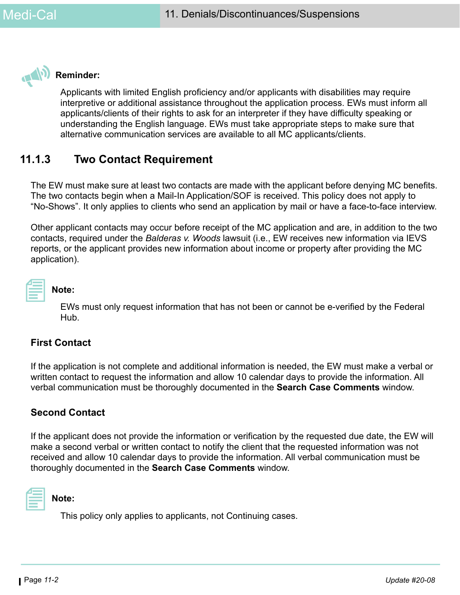

## **Reminder:**

Applicants with limited English proficiency and/or applicants with disabilities may require interpretive or additional assistance throughout the application process. EWs must inform all applicants/clients of their rights to ask for an interpreter if they have difficulty speaking or understanding the English language. EWs must take appropriate steps to make sure that alternative communication services are available to all MC applicants/clients.

# **11.1.3 Two Contact Requirement**

The EW must make sure at least two contacts are made with the applicant before denying MC benefits. The two contacts begin when a Mail-In Application/SOF is received. This policy does not apply to "No-Shows". It only applies to clients who send an application by mail or have a face-to-face interview.

Other applicant contacts may occur before receipt of the MC application and are, in addition to the two contacts, required under the *Balderas v. Woods* lawsuit (i.e., EW receives new information via IEVS reports, or the applicant provides new information about income or property after providing the MC application).

| ____ |  |
|------|--|
|      |  |
|      |  |
|      |  |
|      |  |
|      |  |
|      |  |
|      |  |
|      |  |

## **Note:**

EWs must only request information that has not been or cannot be e-verified by the Federal Hub.

## **First Contact**

If the application is not complete and additional information is needed, the EW must make a verbal or written contact to request the information and allow 10 calendar days to provide the information. All verbal communication must be thoroughly documented in the **Search Case Comments** window.

## **Second Contact**

If the applicant does not provide the information or verification by the requested due date, the EW will make a second verbal or written contact to notify the client that the requested information was not received and allow 10 calendar days to provide the information. All verbal communication must be thoroughly documented in the **Search Case Comments** window.



#### **Note:**

This policy only applies to applicants, not Continuing cases.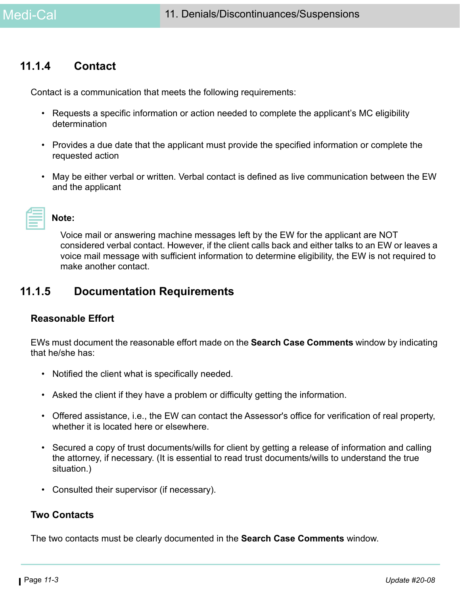## **11.1.4 Contact**

Contact is a communication that meets the following requirements:

- Requests a specific information or action needed to complete the applicant's MC eligibility determination
- Provides a due date that the applicant must provide the specified information or complete the requested action
- May be either verbal or written. Verbal contact is defined as live communication between the EW and the applicant

|           | $\mathcal{L}^{\text{max}}_{\text{max}}$ and $\mathcal{L}^{\text{max}}_{\text{max}}$ and $\mathcal{L}^{\text{max}}_{\text{max}}$ |  |
|-----------|---------------------------------------------------------------------------------------------------------------------------------|--|
|           |                                                                                                                                 |  |
| _________ |                                                                                                                                 |  |

#### **Note:**

Voice mail or answering machine messages left by the EW for the applicant are NOT considered verbal contact. However, if the client calls back and either talks to an EW or leaves a voice mail message with sufficient information to determine eligibility, the EW is not required to make another contact.

## **11.1.5 Documentation Requirements**

### **Reasonable Effort**

EWs must document the reasonable effort made on the **Search Case Comments** window by indicating that he/she has:

- Notified the client what is specifically needed.
- Asked the client if they have a problem or difficulty getting the information.
- Offered assistance, i.e., the EW can contact the Assessor's office for verification of real property, whether it is located here or elsewhere.
- Secured a copy of trust documents/wills for client by getting a release of information and calling the attorney, if necessary. (It is essential to read trust documents/wills to understand the true situation.)
- Consulted their supervisor (if necessary).

### **Two Contacts**

The two contacts must be clearly documented in the **Search Case Comments** window.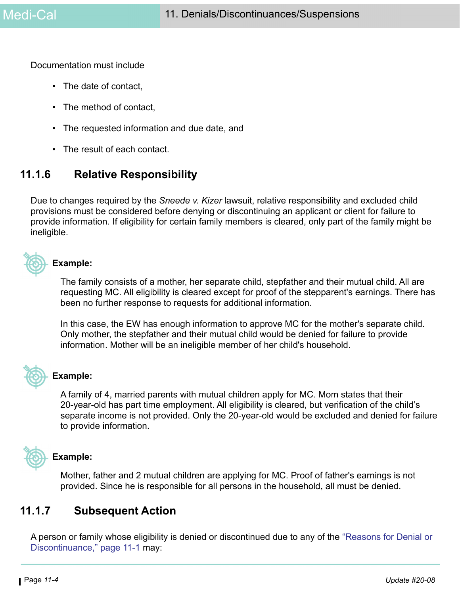Documentation must include

- The date of contact,
- The method of contact,
- The requested information and due date, and
- The result of each contact.

# **11.1.6 Relative Responsibility**

Due to changes required by the *Sneede v. Kizer* lawsuit, relative responsibility and excluded child provisions must be considered before denying or discontinuing an applicant or client for failure to provide information. If eligibility for certain family members is cleared, only part of the family might be ineligible.



#### **Example:**

The family consists of a mother, her separate child, stepfather and their mutual child. All are requesting MC. All eligibility is cleared except for proof of the stepparent's earnings. There has been no further response to requests for additional information.

In this case, the EW has enough information to approve MC for the mother's separate child. Only mother, the stepfather and their mutual child would be denied for failure to provide information. Mother will be an ineligible member of her child's household.



### **Example:**

A family of 4, married parents with mutual children apply for MC. Mom states that their 20-year-old has part time employment. All eligibility is cleared, but verification of the child's separate income is not provided. Only the 20-year-old would be excluded and denied for failure to provide information.



### **Example:**

Mother, father and 2 mutual children are applying for MC. Proof of father's earnings is not provided. Since he is responsible for all persons in the household, all must be denied.

# **11.1.7 Subsequent Action**

A person or family whose eligibility is denied or discontinued due to any of the ["Reasons for Denial or](#page-0-0)  [Discontinuance," page 11-1](#page-0-0) may: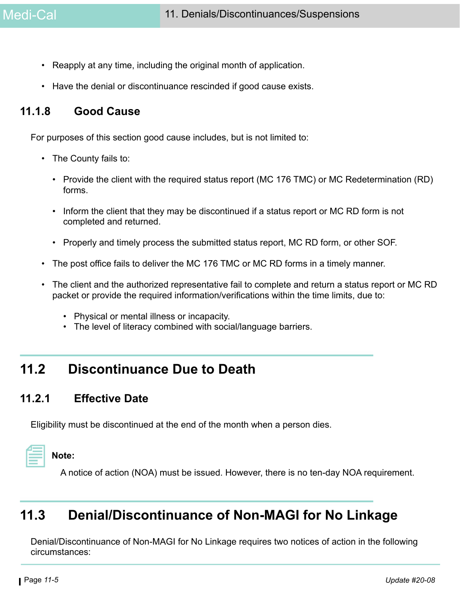- Reapply at any time, including the original month of application.
- Have the denial or discontinuance rescinded if good cause exists.

# **11.1.8 Good Cause**

For purposes of this section good cause includes, but is not limited to:

- The County fails to:
	- Provide the client with the required status report (MC 176 TMC) or MC Redetermination (RD) forms.
	- Inform the client that they may be discontinued if a status report or MC RD form is not completed and returned.
	- Properly and timely process the submitted status report, MC RD form, or other SOF.
- The post office fails to deliver the MC 176 TMC or MC RD forms in a timely manner.
- The client and the authorized representative fail to complete and return a status report or MC RD packet or provide the required information/verifications within the time limits, due to:
	- Physical or mental illness or incapacity.
	- The level of literacy combined with social/language barriers.

# **11.2 Discontinuance Due to Death**

## **11.2.1 Effective Date**

Eligibility must be discontinued at the end of the month when a person dies.

# **Note:**

A notice of action (NOA) must be issued. However, there is no ten-day NOA requirement.

# **11.3 Denial/Discontinuance of Non-MAGI for No Linkage**

Denial/Discontinuance of Non-MAGI for No Linkage requires two notices of action in the following circumstances: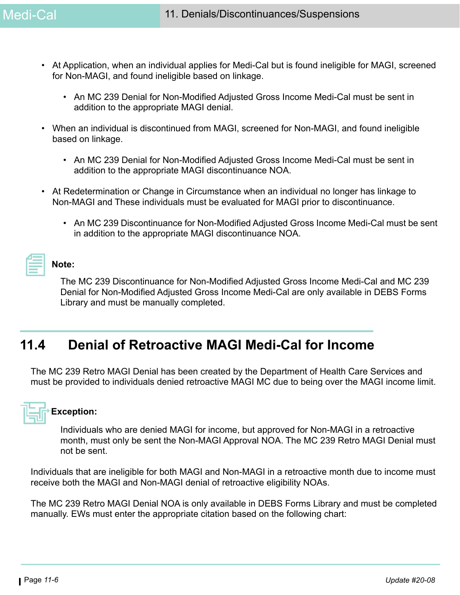- At Application, when an individual applies for Medi-Cal but is found ineligible for MAGI, screened for Non-MAGI, and found ineligible based on linkage.
	- An MC 239 Denial for Non-Modified Adjusted Gross Income Medi-Cal must be sent in addition to the appropriate MAGI denial.
- When an individual is discontinued from MAGI, screened for Non-MAGI, and found ineligible based on linkage.
	- An MC 239 Denial for Non-Modified Adjusted Gross Income Medi-Cal must be sent in addition to the appropriate MAGI discontinuance NOA.
- At Redetermination or Change in Circumstance when an individual no longer has linkage to Non-MAGI and These individuals must be evaluated for MAGI prior to discontinuance.
	- An MC 239 Discontinuance for Non-Modified Adjusted Gross Income Medi-Cal must be sent in addition to the appropriate MAGI discontinuance NOA.

### **Note:**

The MC 239 Discontinuance for Non-Modified Adjusted Gross Income Medi-Cal and MC 239 Denial for Non-Modified Adjusted Gross Income Medi-Cal are only available in DEBS Forms Library and must be manually completed.

# **11.4 Denial of Retroactive MAGI Medi-Cal for Income**

The MC 239 Retro MAGI Denial has been created by the Department of Health Care Services and must be provided to individuals denied retroactive MAGI MC due to being over the MAGI income limit.

# **Exception:**

Individuals who are denied MAGI for income, but approved for Non-MAGI in a retroactive month, must only be sent the Non-MAGI Approval NOA. The MC 239 Retro MAGI Denial must not be sent.

Individuals that are ineligible for both MAGI and Non-MAGI in a retroactive month due to income must receive both the MAGI and Non-MAGI denial of retroactive eligibility NOAs.

The MC 239 Retro MAGI Denial NOA is only available in DEBS Forms Library and must be completed manually. EWs must enter the appropriate citation based on the following chart: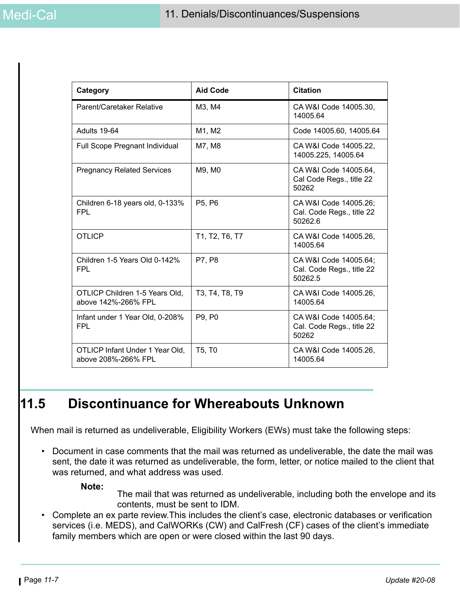| Category                                               | <b>Aid Code</b>                 | <b>Citation</b>                                               |
|--------------------------------------------------------|---------------------------------|---------------------------------------------------------------|
| Parent/Caretaker Relative                              | M3, M4                          | CA W&I Code 14005.30,<br>14005.64                             |
| Adults 19-64                                           | M1, M2                          | Code 14005.60, 14005.64                                       |
| Full Scope Pregnant Individual                         | M7, M8                          | CA W&I Code 14005.22,<br>14005.225, 14005.64                  |
| <b>Pregnancy Related Services</b>                      | M9, M0                          | CA W&I Code 14005.64,<br>Cal Code Regs., title 22<br>50262    |
| Children 6-18 years old, 0-133%<br><b>FPL</b>          | P5, P6                          | CA W&I Code 14005.26;<br>Cal. Code Regs., title 22<br>50262.6 |
| <b>OTLICP</b>                                          | T1, T2, T6, T7                  | CA W&I Code 14005.26,<br>14005.64                             |
| Children 1-5 Years Old 0-142%<br><b>FPL</b>            | P7, P8                          | CA W&I Code 14005.64;<br>Cal. Code Regs., title 22<br>50262.5 |
| OTLICP Children 1-5 Years Old,<br>above 142%-266% FPL  | T3, T4, T8, T9                  | CA W&I Code 14005.26,<br>14005.64                             |
| Infant under 1 Year Old, 0-208%<br><b>FPL</b>          | P9, P0                          | CA W&I Code 14005.64;<br>Cal. Code Regs., title 22<br>50262   |
| OTLICP Infant Under 1 Year Old,<br>above 208%-266% FPL | T <sub>5</sub> , T <sub>0</sub> | CA W&I Code 14005.26,<br>14005.64                             |

# **11.5 Discontinuance for Whereabouts Unknown**

When mail is returned as undeliverable, Eligibility Workers (EWs) must take the following steps:

• Document in case comments that the mail was returned as undeliverable, the date the mail was sent, the date it was returned as undeliverable, the form, letter, or notice mailed to the client that was returned, and what address was used.

#### **Note:**

The mail that was returned as undeliverable, including both the envelope and its contents, must be sent to IDM.

• Complete an ex parte review.This includes the client's case, electronic databases or verification services (i.e. MEDS), and CalWORKs (CW) and CalFresh (CF) cases of the client's immediate family members which are open or were closed within the last 90 days.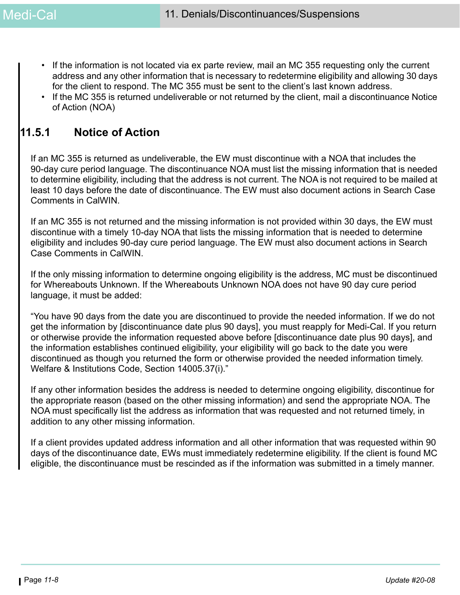- If the information is not located via ex parte review, mail an MC 355 requesting only the current address and any other information that is necessary to redetermine eligibility and allowing 30 days for the client to respond. The MC 355 must be sent to the client's last known address.
- If the MC 355 is returned undeliverable or not returned by the client, mail a discontinuance Notice of Action (NOA)

# **11.5.1 Notice of Action**

If an MC 355 is returned as undeliverable, the EW must discontinue with a NOA that includes the 90-day cure period language. The discontinuance NOA must list the missing information that is needed to determine eligibility, including that the address is not current. The NOA is not required to be mailed at least 10 days before the date of discontinuance. The EW must also document actions in Search Case Comments in CalWIN.

If an MC 355 is not returned and the missing information is not provided within 30 days, the EW must discontinue with a timely 10-day NOA that lists the missing information that is needed to determine eligibility and includes 90-day cure period language. The EW must also document actions in Search Case Comments in CalWIN.

If the only missing information to determine ongoing eligibility is the address, MC must be discontinued for Whereabouts Unknown. If the Whereabouts Unknown NOA does not have 90 day cure period language, it must be added:

"You have 90 days from the date you are discontinued to provide the needed information. If we do not get the information by [discontinuance date plus 90 days], you must reapply for Medi-Cal. If you return or otherwise provide the information requested above before [discontinuance date plus 90 days], and the information establishes continued eligibility, your eligibility will go back to the date you were discontinued as though you returned the form or otherwise provided the needed information timely. Welfare & Institutions Code, Section 14005.37(i)."

If any other information besides the address is needed to determine ongoing eligibility, discontinue for the appropriate reason (based on the other missing information) and send the appropriate NOA. The NOA must specifically list the address as information that was requested and not returned timely, in addition to any other missing information.

If a client provides updated address information and all other information that was requested within 90 days of the discontinuance date, EWs must immediately redetermine eligibility. If the client is found MC eligible, the discontinuance must be rescinded as if the information was submitted in a timely manner.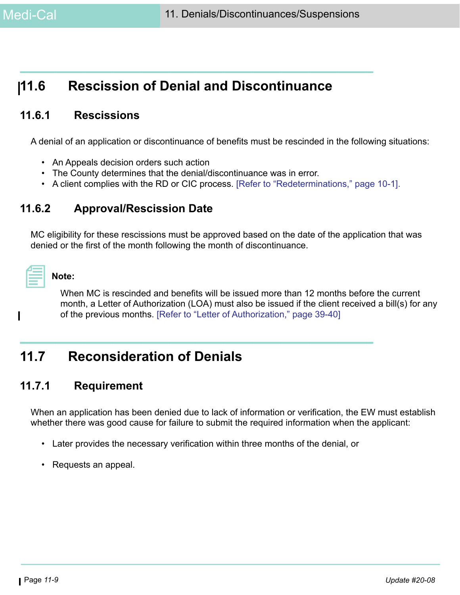# **11.6 Rescission of Denial and Discontinuance**

# **11.6.1 Rescissions**

A denial of an application or discontinuance of benefits must be rescinded in the following situations:

- An Appeals decision orders such action
- The County determines that the denial/discontinuance was in error.
- A client complies with the RD or CIC process. [Refer to "Redeterminations," page 10-1].

# **11.6.2 Approval/Rescission Date**

MC eligibility for these rescissions must be approved based on the date of the application that was denied or the first of the month following the month of discontinuance.

| and the state of the state of the state of the state of the state of the state of the state of the state of th |  |
|----------------------------------------------------------------------------------------------------------------|--|
|                                                                                                                |  |

## **Note:**

When MC is rescinded and benefits will be issued more than 12 months before the current month, a Letter of Authorization (LOA) must also be issued if the client received a bill(s) for any of the previous months. [Refer to "Letter of Authorization," page 39-40]

# **11.7 Reconsideration of Denials**

## **11.7.1 Requirement**

When an application has been denied due to lack of information or verification, the EW must establish whether there was good cause for failure to submit the required information when the applicant:

- Later provides the necessary verification within three months of the denial, or
- Requests an appeal.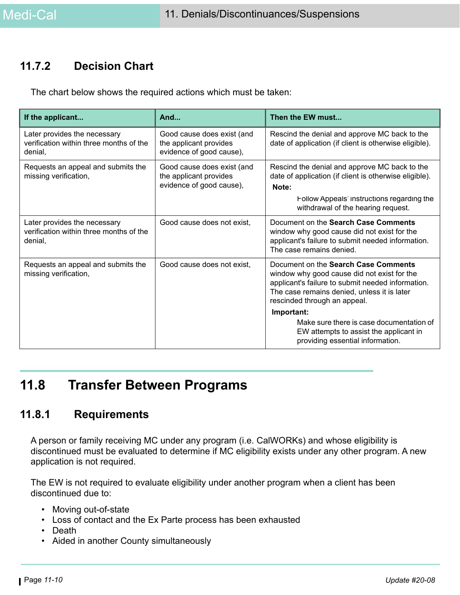# **11.7.2 Decision Chart**

The chart below shows the required actions which must be taken:

| If the applicant                                                                   | And                                                                              | Then the EW must                                                                                                                                                                                                        |
|------------------------------------------------------------------------------------|----------------------------------------------------------------------------------|-------------------------------------------------------------------------------------------------------------------------------------------------------------------------------------------------------------------------|
| Later provides the necessary<br>verification within three months of the<br>denial. | Good cause does exist (and<br>the applicant provides<br>evidence of good cause), | Rescind the denial and approve MC back to the<br>date of application (if client is otherwise eligible).                                                                                                                 |
| Requests an appeal and submits the<br>missing verification,                        | Good cause does exist (and<br>the applicant provides<br>evidence of good cause), | Rescind the denial and approve MC back to the<br>date of application (if client is otherwise eligible).<br>Note:                                                                                                        |
|                                                                                    |                                                                                  | Follow Appeals' instructions regarding the<br>withdrawal of the hearing request.                                                                                                                                        |
| Later provides the necessary<br>verification within three months of the<br>denial. | Good cause does not exist,                                                       | Document on the Search Case Comments<br>window why good cause did not exist for the<br>applicant's failure to submit needed information.<br>The case remains denied.                                                    |
| Requests an appeal and submits the<br>missing verification,                        | Good cause does not exist.                                                       | Document on the Search Case Comments<br>window why good cause did not exist for the<br>applicant's failure to submit needed information.<br>The case remains denied, unless it is later<br>rescinded through an appeal. |
|                                                                                    |                                                                                  | Important:<br>Make sure there is case documentation of<br>EW attempts to assist the applicant in<br>providing essential information.                                                                                    |

# **11.8 Transfer Between Programs**

## **11.8.1 Requirements**

A person or family receiving MC under any program (i.e. CalWORKs) and whose eligibility is discontinued must be evaluated to determine if MC eligibility exists under any other program. A new application is not required.

The EW is not required to evaluate eligibility under another program when a client has been discontinued due to:

- Moving out-of-state
- Loss of contact and the Ex Parte process has been exhausted
- Death
- Aided in another County simultaneously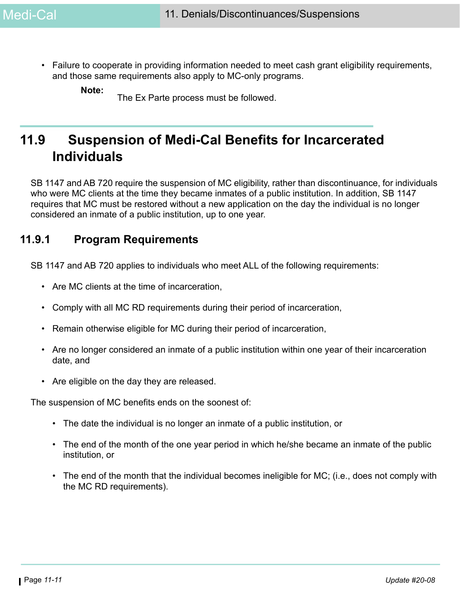• Failure to cooperate in providing information needed to meet cash grant eligibility requirements, and those same requirements also apply to MC-only programs.

**Note:**

The Ex Parte process must be followed.

# **11.9 Suspension of Medi-Cal Benefits for Incarcerated Individuals**

SB 1147 and AB 720 require the suspension of MC eligibility, rather than discontinuance, for individuals who were MC clients at the time they became inmates of a public institution. In addition, SB 1147 requires that MC must be restored without a new application on the day the individual is no longer considered an inmate of a public institution, up to one year.

## **11.9.1 Program Requirements**

SB 1147 and AB 720 applies to individuals who meet ALL of the following requirements:

- Are MC clients at the time of incarceration,
- Comply with all MC RD requirements during their period of incarceration,
- Remain otherwise eligible for MC during their period of incarceration,
- Are no longer considered an inmate of a public institution within one year of their incarceration date, and
- Are eligible on the day they are released.

The suspension of MC benefits ends on the soonest of:

- The date the individual is no longer an inmate of a public institution, or
- The end of the month of the one year period in which he/she became an inmate of the public institution, or
- The end of the month that the individual becomes ineligible for MC; (i.e., does not comply with the MC RD requirements).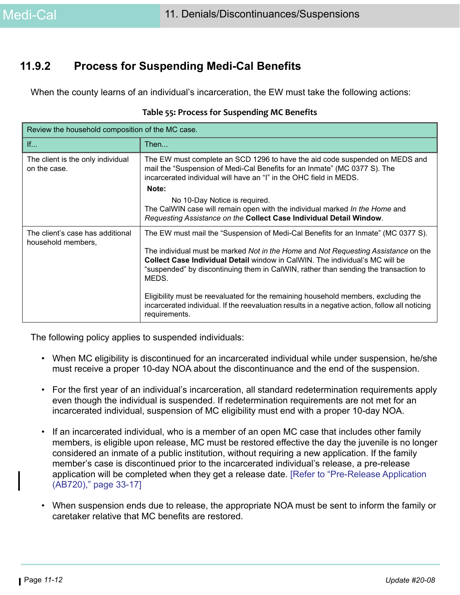# **11.9.2 Process for Suspending Medi-Cal Benefits**

When the county learns of an individual's incarceration, the EW must take the following actions:

| Review the household composition of the MC case.       |                                                                                                                                                                                                                                                                           |  |  |
|--------------------------------------------------------|---------------------------------------------------------------------------------------------------------------------------------------------------------------------------------------------------------------------------------------------------------------------------|--|--|
| $\mathsf{If}$                                          | Then                                                                                                                                                                                                                                                                      |  |  |
| The client is the only individual<br>on the case.      | The EW must complete an SCD 1296 to have the aid code suspended on MEDS and<br>mail the "Suspension of Medi-Cal Benefits for an Inmate" (MC 0377 S). The<br>incarcerated individual will have an "I" in the OHC field in MEDS.                                            |  |  |
|                                                        | Note:                                                                                                                                                                                                                                                                     |  |  |
|                                                        | No 10-Day Notice is required.<br>The CalWIN case will remain open with the individual marked In the Home and<br>Requesting Assistance on the Collect Case Individual Detail Window.                                                                                       |  |  |
| The client's case has additional<br>household members, | The EW must mail the "Suspension of Medi-Cal Benefits for an Inmate" (MC 0377 S).                                                                                                                                                                                         |  |  |
|                                                        | The individual must be marked Not in the Home and Not Requesting Assistance on the<br><b>Collect Case Individual Detail window in CalWIN. The individual's MC will be</b><br>"suspended" by discontinuing them in CalWIN, rather than sending the transaction to<br>MEDS. |  |  |
|                                                        | Eligibility must be reevaluated for the remaining household members, excluding the<br>incarcerated individual. If the reevaluation results in a negative action, follow all noticing<br>requirements.                                                                     |  |  |

#### **Table 55: Process for Suspending MC Benefits**

The following policy applies to suspended individuals:

- When MC eligibility is discontinued for an incarcerated individual while under suspension, he/she must receive a proper 10-day NOA about the discontinuance and the end of the suspension.
- For the first year of an individual's incarceration, all standard redetermination requirements apply even though the individual is suspended. If redetermination requirements are not met for an incarcerated individual, suspension of MC eligibility must end with a proper 10-day NOA.
- If an incarcerated individual, who is a member of an open MC case that includes other family members, is eligible upon release, MC must be restored effective the day the juvenile is no longer considered an inmate of a public institution, without requiring a new application. If the family member's case is discontinued prior to the incarcerated individual's release, a pre-release application will be completed when they get a release date. [Refer to "Pre-Release Application (AB720)," page 33-17]
- When suspension ends due to release, the appropriate NOA must be sent to inform the family or caretaker relative that MC benefits are restored.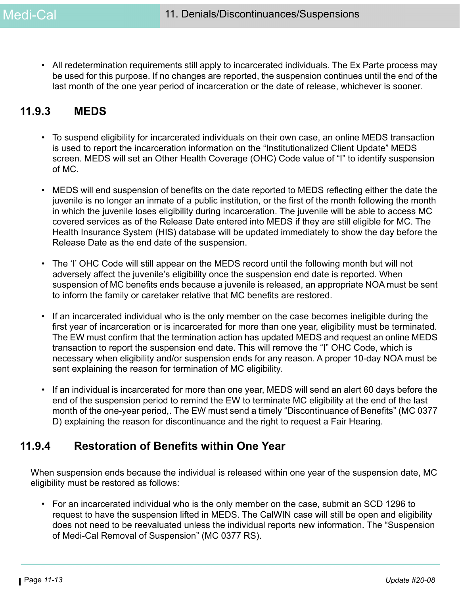• All redetermination requirements still apply to incarcerated individuals. The Ex Parte process may be used for this purpose. If no changes are reported, the suspension continues until the end of the last month of the one year period of incarceration or the date of release, whichever is sooner.

# **11.9.3 MEDS**

- To suspend eligibility for incarcerated individuals on their own case, an online MEDS transaction is used to report the incarceration information on the "Institutionalized Client Update" MEDS screen. MEDS will set an Other Health Coverage (OHC) Code value of "I" to identify suspension of MC.
- MEDS will end suspension of benefits on the date reported to MEDS reflecting either the date the juvenile is no longer an inmate of a public institution, or the first of the month following the month in which the juvenile loses eligibility during incarceration. The juvenile will be able to access MC covered services as of the Release Date entered into MEDS if they are still eligible for MC. The Health Insurance System (HIS) database will be updated immediately to show the day before the Release Date as the end date of the suspension.
- The 'I' OHC Code will still appear on the MEDS record until the following month but will not adversely affect the juvenile's eligibility once the suspension end date is reported. When suspension of MC benefits ends because a juvenile is released, an appropriate NOA must be sent to inform the family or caretaker relative that MC benefits are restored.
- If an incarcerated individual who is the only member on the case becomes ineligible during the first year of incarceration or is incarcerated for more than one year, eligibility must be terminated. The EW must confirm that the termination action has updated MEDS and request an online MEDS transaction to report the suspension end date. This will remove the "I" OHC Code, which is necessary when eligibility and/or suspension ends for any reason. A proper 10-day NOA must be sent explaining the reason for termination of MC eligibility.
- If an individual is incarcerated for more than one year, MEDS will send an alert 60 days before the end of the suspension period to remind the EW to terminate MC eligibility at the end of the last month of the one-year period,. The EW must send a timely "Discontinuance of Benefits" (MC 0377 D) explaining the reason for discontinuance and the right to request a Fair Hearing.

# **11.9.4 Restoration of Benefits within One Year**

When suspension ends because the individual is released within one year of the suspension date, MC eligibility must be restored as follows:

• For an incarcerated individual who is the only member on the case, submit an SCD 1296 to request to have the suspension lifted in MEDS. The CalWIN case will still be open and eligibility does not need to be reevaluated unless the individual reports new information. The "Suspension of Medi-Cal Removal of Suspension" (MC 0377 RS).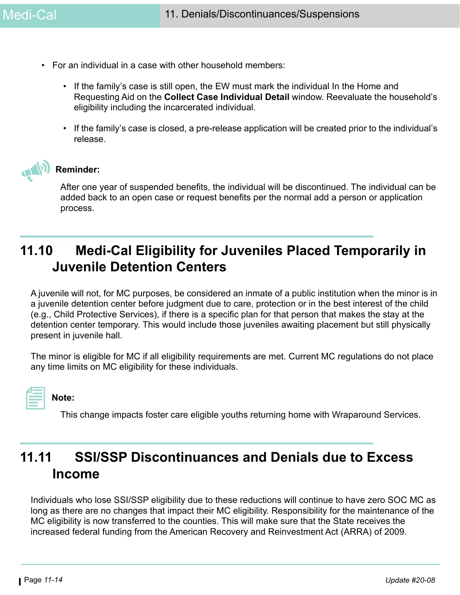- For an individual in a case with other household members:
	- If the family's case is still open, the EW must mark the individual In the Home and Requesting Aid on the **Collect Case Individual Detail** window. Reevaluate the household's eligibility including the incarcerated individual.
	- If the family's case is closed, a pre-release application will be created prior to the individual's release.



After one year of suspended benefits, the individual will be discontinued. The individual can be added back to an open case or request benefits per the normal add a person or application process.

# **11.10 Medi-Cal Eligibility for Juveniles Placed Temporarily in Juvenile Detention Centers**

A juvenile will not, for MC purposes, be considered an inmate of a public institution when the minor is in a juvenile detention center before judgment due to care, protection or in the best interest of the child (e.g., Child Protective Services), if there is a specific plan for that person that makes the stay at the detention center temporary. This would include those juveniles awaiting placement but still physically present in juvenile hall.

The minor is eligible for MC if all eligibility requirements are met. Current MC regulations do not place any time limits on MC eligibility for these individuals.

| ___       |  |  |
|-----------|--|--|
|           |  |  |
|           |  |  |
|           |  |  |
|           |  |  |
|           |  |  |
|           |  |  |
| _________ |  |  |
|           |  |  |
|           |  |  |

**Note:** 

This change impacts foster care eligible youths returning home with Wraparound Services.

# **11.11 SSI/SSP Discontinuances and Denials due to Excess Income**

Individuals who lose SSI/SSP eligibility due to these reductions will continue to have zero SOC MC as long as there are no changes that impact their MC eligibility. Responsibility for the maintenance of the MC eligibility is now transferred to the counties. This will make sure that the State receives the increased federal funding from the American Recovery and Reinvestment Act (ARRA) of 2009.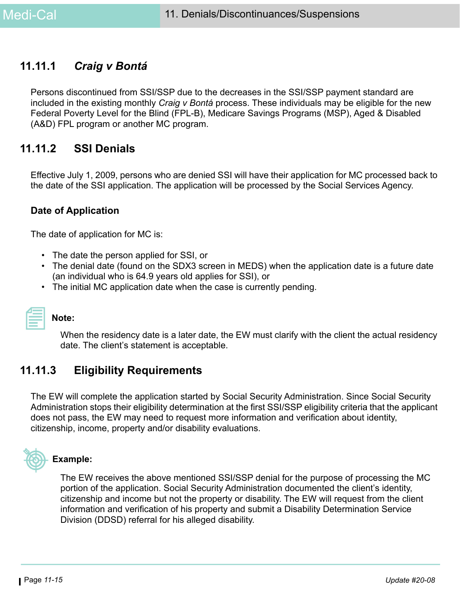# **11.11.1** *Craig v Bontá*

Persons discontinued from SSI/SSP due to the decreases in the SSI/SSP payment standard are included in the existing monthly *Craig v Bontá* process. These individuals may be eligible for the new Federal Poverty Level for the Blind (FPL-B), Medicare Savings Programs (MSP), Aged & Disabled (A&D) FPL program or another MC program.

## **11.11.2 SSI Denials**

Effective July 1, 2009, persons who are denied SSI will have their application for MC processed back to the date of the SSI application. The application will be processed by the Social Services Agency.

## <span id="page-14-0"></span>**Date of Application**

The date of application for MC is:

- The date the person applied for SSI, or
- The denial date (found on the SDX3 screen in MEDS) when the application date is a future date (an individual who is 64.9 years old applies for SSI), or
- The initial MC application date when the case is currently pending.

| __________ |  |  |
|------------|--|--|
|            |  |  |
|            |  |  |
|            |  |  |

#### **Note:**

When the residency date is a later date, the EW must clarify with the client the actual residency date. The client's statement is acceptable.

## **11.11.3 Eligibility Requirements**

The EW will complete the application started by Social Security Administration. Since Social Security Administration stops their eligibility determination at the first SSI/SSP eligibility criteria that the applicant does not pass, the EW may need to request more information and verification about identity, citizenship, income, property and/or disability evaluations.



### **Example:**

The EW receives the above mentioned SSI/SSP denial for the purpose of processing the MC portion of the application. Social Security Administration documented the client's identity, citizenship and income but not the property or disability. The EW will request from the client information and verification of his property and submit a Disability Determination Service Division (DDSD) referral for his alleged disability.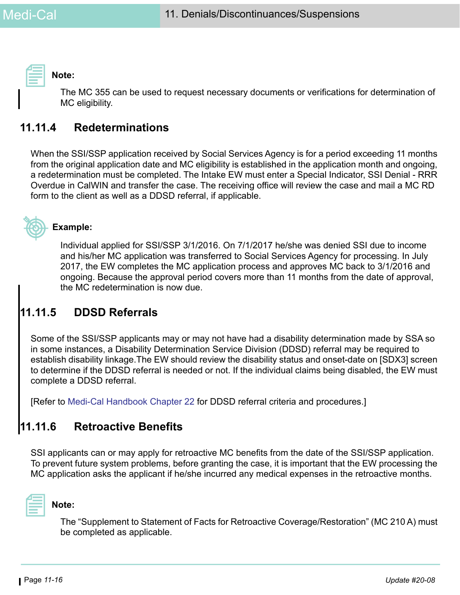**Note:** 

The MC 355 can be used to request necessary documents or verifications for determination of MC eligibility.

# **11.11.4 Redeterminations**

When the SSI/SSP application received by Social Services Agency is for a period exceeding 11 months from the original application date and MC eligibility is established in the application month and ongoing, a redetermination must be completed. The Intake EW must enter a Special Indicator, SSI Denial - RRR Overdue in CalWIN and transfer the case. The receiving office will review the case and mail a MC RD form to the client as well as a DDSD referral, if applicable.



### **Example:**

Individual applied for SSI/SSP 3/1/2016. On 7/1/2017 he/she was denied SSI due to income and his/her MC application was transferred to Social Services Agency for processing. In July 2017, the EW completes the MC application process and approves MC back to 3/1/2016 and ongoing. Because the approval period covers more than 11 months from the date of approval, the MC redetermination is now due.

# **11.11.5 DDSD Referrals**

Some of the SSI/SSP applicants may or may not have had a disability determination made by SSA so in some instances, a Disability Determination Service Division (DDSD) referral may be required to establish disability linkage.The EW should review the disability status and onset-date on [SDX3] screen to determine if the DDSD referral is needed or not. If the individual claims being disabled, the EW must complete a DDSD referral.

[Refer to [Medi-Cal Handbook Chapter 22](https://ssaconnect.sccgov.org/ssa_departments/debs_program/Documents/handbooks/medical/mcchap22.pdf) for DDSD referral criteria and procedures.]

# **11.11.6 Retroactive Benefits**

SSI applicants can or may apply for retroactive MC benefits from the date of the SSI/SSP application. To prevent future system problems, before granting the case, it is important that the EW processing the MC application asks the applicant if he/she incurred any medical expenses in the retroactive months.



#### **Note:**

The "Supplement to Statement of Facts for Retroactive Coverage/Restoration" (MC 210 A) must be completed as applicable.